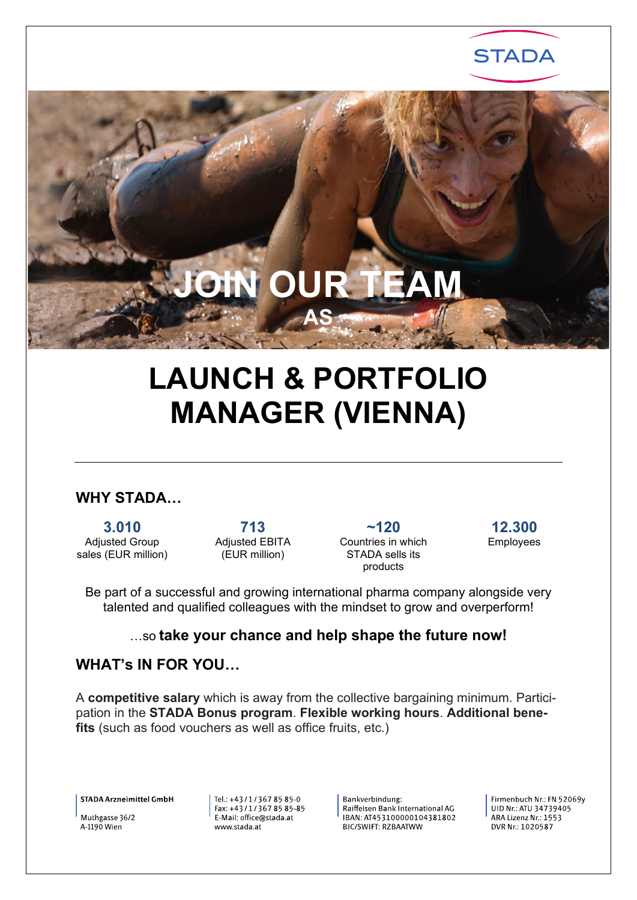

# **LAUNCH & PORTFOLIO MANAGER (VIENNA)**

# **WHY STADA…**

**3.010** Adjusted Group sales (EUR million)

**713** Adjusted EBITA (EUR million)

**~120** Countries in which STADA sells its products

**12.300** 

Employees

Be part of a successful and growing international pharma company alongside very talented and qualified colleagues with the mindset to grow and overperform!

#### …so **take your chance and help shape the future now!**

# **WHAT's IN FOR YOU…**

A **competitive salary** which is away from the collective bargaining minimum. Participation in the **STADA Bonus program**. **Flexible working hours**. **Additional benefits** (such as food vouchers as well as office fruits, etc.)

**STADA Arzneimittel GmbH** 

Muthgasse 36/2 A-1190 Wien

Tel.: +43/1/3678585-0 Fax: +43/1/367 85 85-85 E-Mail: office@stada.at www.stada.at

Bankverbindung: Raiffeisen Bank International AG IBAN: AT453100000104381802 **BIC/SWIFT: RZBAATWW** 

Firmenbuch Nr. FN 52069v UID Nr.: ATU 34739405  $ARA$  Lizenz  $Nr:1553$ DVR Nr.: 1020587